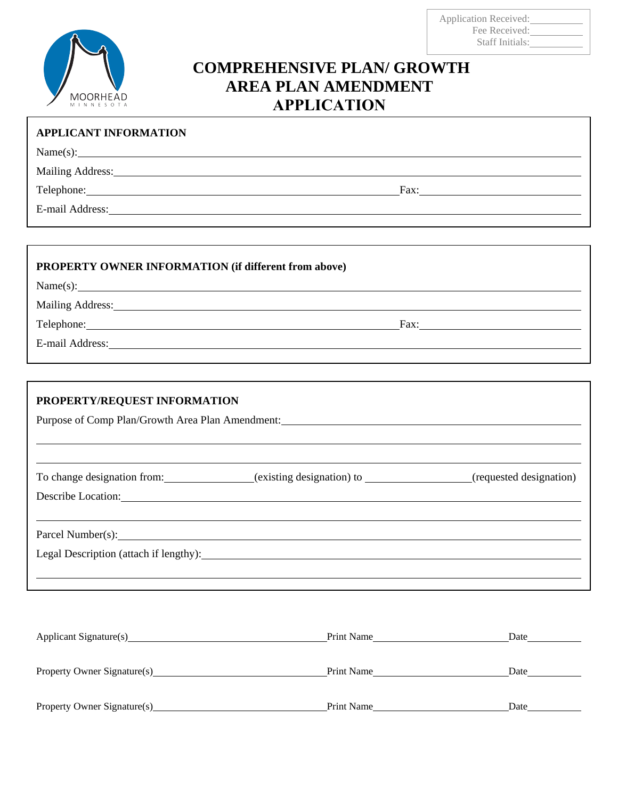

## **COMPREHENSIVE PLAN/ GROWTH AREA PLAN AMENDMENT APPLICATION**

| <b>APPLICANT INFORMATION</b>                                                                                                                                                                                                   |                                                                                                                                                                                                                                |
|--------------------------------------------------------------------------------------------------------------------------------------------------------------------------------------------------------------------------------|--------------------------------------------------------------------------------------------------------------------------------------------------------------------------------------------------------------------------------|
| Name(s):                                                                                                                                                                                                                       |                                                                                                                                                                                                                                |
| Mailing Address: National Address: National Address: National Address: National Address: National Address: National Address: National Address: National Address: National Address: National Address: National Address: Nationa |                                                                                                                                                                                                                                |
| Telephone: Note and the set of the set of the set of the set of the set of the set of the set of the set of the set of the set of the set of the set of the set of the set of the set of the set of the set of the set of the  | Fax: The contract of the contract of the contract of the contract of the contract of the contract of the contract of the contract of the contract of the contract of the contract of the contract of the contract of the contr |
|                                                                                                                                                                                                                                |                                                                                                                                                                                                                                |
|                                                                                                                                                                                                                                |                                                                                                                                                                                                                                |

| <b>PROPERTY OWNER INFORMATION (if different from above)</b>                                                                                                                                                                    |  |
|--------------------------------------------------------------------------------------------------------------------------------------------------------------------------------------------------------------------------------|--|
| Name(s):                                                                                                                                                                                                                       |  |
| Mailing Address: National Address: National Address: National Address: National Address: National Address: National Address: National Address: National Address: National Address: National Address: National Address: Nationa |  |
| Telephone: New York Changes and Changes and Changes and Changes and Changes and Changes and Changes and Changes and Changes and Changes and Changes and Changes and Changes and Changes and Changes and Changes and Changes an |  |
|                                                                                                                                                                                                                                |  |

| PROPERTY/REQUEST INFORMATION<br>Purpose of Comp Plan/Growth Area Plan Amendment: |                                                                                                                                |  |  |  |
|----------------------------------------------------------------------------------|--------------------------------------------------------------------------------------------------------------------------------|--|--|--|
|                                                                                  | To change designation from: _____________(existing designation) to ______________(requested designation)<br>Describe Location: |  |  |  |
|                                                                                  | Parcel Number(s):<br>Legal Description (attach if lengthy):                                                                    |  |  |  |

| Applicant Signature(s)      | Print Name | Date |
|-----------------------------|------------|------|
|                             |            |      |
| Property Owner Signature(s) | Print Name | Date |
|                             |            |      |
| Property Owner Signature(s) | Print Name | Date |